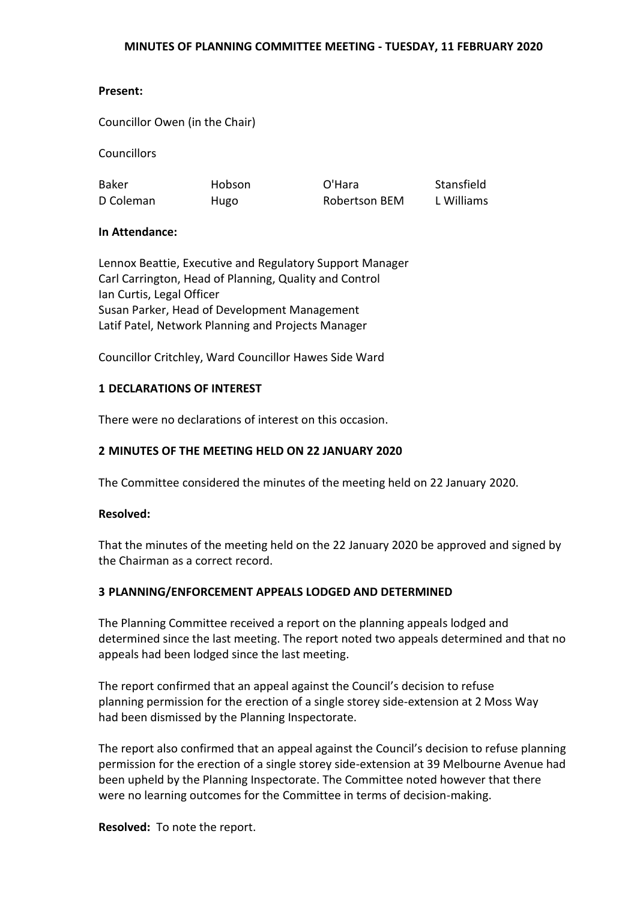#### **Present:**

Councillor Owen (in the Chair)

Councillors

Baker D Coleman Hobson Hugo

O'Hara Robertson BEM Stansfield L Williams

#### **In Attendance:**

Lennox Beattie, Executive and Regulatory Support Manager Carl Carrington, Head of Planning, Quality and Control Ian Curtis, Legal Officer Susan Parker, Head of Development Management Latif Patel, Network Planning and Projects Manager

Councillor Critchley, Ward Councillor Hawes Side Ward

#### **1 DECLARATIONS OF INTEREST**

There were no declarations of interest on this occasion.

## **2 MINUTES OF THE MEETING HELD ON 22 JANUARY 2020**

The Committee considered the minutes of the meeting held on 22 January 2020.

#### **Resolved:**

That the minutes of the meeting held on the 22 January 2020 be approved and signed by the Chairman as a correct record.

#### **3 PLANNING/ENFORCEMENT APPEALS LODGED AND DETERMINED**

The Planning Committee received a report on the planning appeals lodged and determined since the last meeting. The report noted two appeals determined and that no appeals had been lodged since the last meeting.

The report confirmed that an appeal against the Council's decision to refuse planning permission for the erection of a single storey side-extension at 2 Moss Way had been dismissed by the Planning Inspectorate.

The report also confirmed that an appeal against the Council's decision to refuse planning permission for the erection of a single storey side-extension at 39 Melbourne Avenue had been upheld by the Planning Inspectorate. The Committee noted however that there were no learning outcomes for the Committee in terms of decision-making.

**Resolved:** To note the report.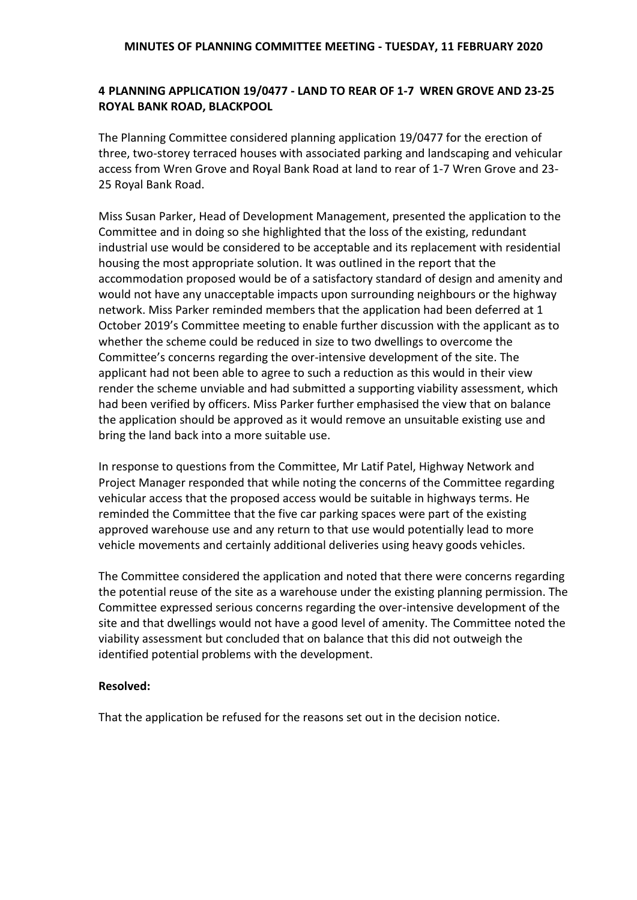# **4 PLANNING APPLICATION 19/0477 - LAND TO REAR OF 1-7 WREN GROVE AND 23-25 ROYAL BANK ROAD, BLACKPOOL**

The Planning Committee considered planning application 19/0477 for the erection of three, two-storey terraced houses with associated parking and landscaping and vehicular access from Wren Grove and Royal Bank Road at land to rear of 1-7 Wren Grove and 23- 25 Royal Bank Road.

Miss Susan Parker, Head of Development Management, presented the application to the Committee and in doing so she highlighted that the loss of the existing, redundant industrial use would be considered to be acceptable and its replacement with residential housing the most appropriate solution. It was outlined in the report that the accommodation proposed would be of a satisfactory standard of design and amenity and would not have any unacceptable impacts upon surrounding neighbours or the highway network. Miss Parker reminded members that the application had been deferred at 1 October 2019's Committee meeting to enable further discussion with the applicant as to whether the scheme could be reduced in size to two dwellings to overcome the Committee's concerns regarding the over-intensive development of the site. The applicant had not been able to agree to such a reduction as this would in their view render the scheme unviable and had submitted a supporting viability assessment, which had been verified by officers. Miss Parker further emphasised the view that on balance the application should be approved as it would remove an unsuitable existing use and bring the land back into a more suitable use.

In response to questions from the Committee, Mr Latif Patel, Highway Network and Project Manager responded that while noting the concerns of the Committee regarding vehicular access that the proposed access would be suitable in highways terms. He reminded the Committee that the five car parking spaces were part of the existing approved warehouse use and any return to that use would potentially lead to more vehicle movements and certainly additional deliveries using heavy goods vehicles.

The Committee considered the application and noted that there were concerns regarding the potential reuse of the site as a warehouse under the existing planning permission. The Committee expressed serious concerns regarding the over-intensive development of the site and that dwellings would not have a good level of amenity. The Committee noted the viability assessment but concluded that on balance that this did not outweigh the identified potential problems with the development.

## **Resolved:**

That the application be refused for the reasons set out in the decision notice.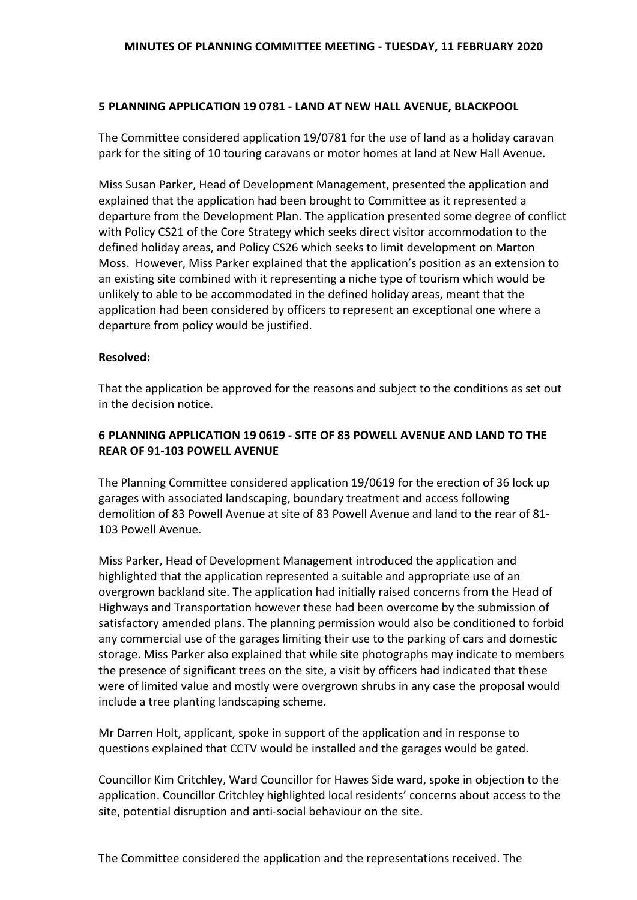## **5 PLANNING APPLICATION 19 0781 - LAND AT NEW HALL AVENUE, BLACKPOOL**

The Committee considered application 19/0781 for the use of land as a holiday caravan park for the siting of 10 touring caravans or motor homes at land at New Hall Avenue.

Miss Susan Parker, Head of Development Management, presented the application and explained that the application had been brought to Committee as it represented a departure from the Development Plan. The application presented some degree of conflict with Policy CS21 of the Core Strategy which seeks direct visitor accommodation to the defined holiday areas, and Policy CS26 which seeks to limit development on Marton Moss. However, Miss Parker explained that the application's position as an extension to an existing site combined with it representing a niche type of tourism which would be unlikely to able to be accommodated in the defined holiday areas, meant that the application had been considered by officers to represent an exceptional one where a departure from policy would be justified.

#### **Resolved:**

That the application be approved for the reasons and subject to the conditions as set out in the decision notice.

# **6 PLANNING APPLICATION 19 0619 - SITE OF 83 POWELL AVENUE AND LAND TO THE REAR OF 91-103 POWELL AVENUE**

The Planning Committee considered application 19/0619 for the erection of 36 lock up garages with associated landscaping, boundary treatment and access following demolition of 83 Powell Avenue at site of 83 Powell Avenue and land to the rear of 81- 103 Powell Avenue.

Miss Parker, Head of Development Management introduced the application and highlighted that the application represented a suitable and appropriate use of an overgrown backland site. The application had initially raised concerns from the Head of Highways and Transportation however these had been overcome by the submission of satisfactory amended plans. The planning permission would also be conditioned to forbid any commercial use of the garages limiting their use to the parking of cars and domestic storage. Miss Parker also explained that while site photographs may indicate to members the presence of significant trees on the site, a visit by officers had indicated that these were of limited value and mostly were overgrown shrubs in any case the proposal would include a tree planting landscaping scheme.

Mr Darren Holt, applicant, spoke in support of the application and in response to questions explained that CCTV would be installed and the garages would be gated.

Councillor Kim Critchley, Ward Councillor for Hawes Side ward, spoke in objection to the application. Councillor Critchley highlighted local residents' concerns about access to the site, potential disruption and anti-social behaviour on the site.